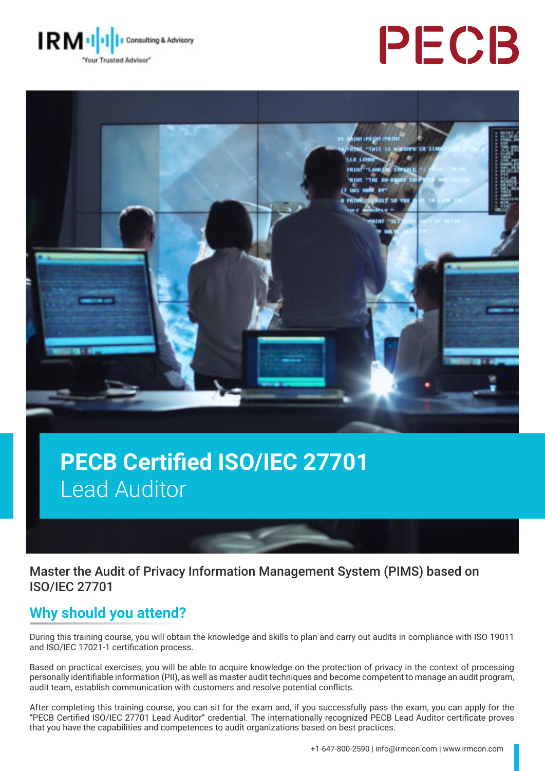

# PECB



## **PECB Certified ISO/IEC 27701**  Lead Auditor

Master the Audit of Privacy Information Management System (PIMS) based on ISO/IEC 27701

## **Why should you attend?**

During this training course, you will obtain the knowledge and skills to plan and carry out audits in compliance with ISO 19011 and ISO/IEC 17021-1 certification process.

Based on practical exercises, you will be able to acquire knowledge on the protection of privacy in the context of processing personally identifiable information (PII), as well as master audit techniques and become competent to manage an audit program, audit team, establish communication with customers and resolve potential conflicts.

After completing this training course, you can sit for the exam and, if you successfully pass the exam, you can apply for the "PECB Certified ISO/IEC 27701 Lead Auditor" credential. The internationally recognized PECB Lead Auditor certificate proves that you have the capabilities and competences to audit organizations based on best practices.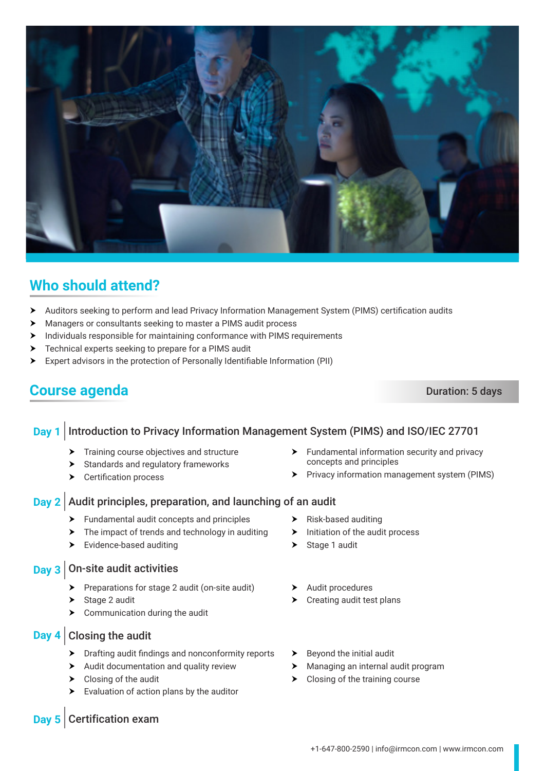

## **Who should attend?**

- ▶ Auditors seeking to perform and lead Privacy Information Management System (PIMS) certification audits
- h Managers or consultants seeking to master a PIMS audit process
- $\blacktriangleright$  Individuals responsible for maintaining conformance with PIMS requirements
- $\triangleright$  Technical experts seeking to prepare for a PIMS audit
- h Expert advisors in the protection of Personally Identifiable Information (PII)

## **Course agenda** Duration: 5 days

### **Day 1** Introduction to Privacy Information Management System (PIMS) and ISO/IEC 27701

- $\blacktriangleright$  Training course objectives and structure
- $\blacktriangleright$  Standards and regulatory frameworks
- $\blacktriangleright$  Certification process
- $\blacktriangleright$  Fundamental information security and privacy concepts and principles
- **Fivacy information management system (PIMS)**

#### **Day 2** Audit principles, preparation, and launching of an audit

- $\blacktriangleright$  Fundamental audit concepts and principles
- $\blacktriangleright$  The impact of trends and technology in auditing
- $\blacktriangleright$  Evidence-based auditing

## **Day 3** On-site audit activities

- $\triangleright$  Preparations for stage 2 audit (on-site audit)
- $\triangleright$  Stage 2 audit
- $\triangleright$  Communication during the audit

#### **Day 4** Closing the audit

- $\blacktriangleright$  Drafting audit findings and nonconformity reports
- $\blacktriangleright$  Audit documentation and quality review
- $\blacktriangleright$  Closing of the audit
- $\blacktriangleright$  Evaluation of action plans by the auditor
- $\blacktriangleright$  Risk-based auditing
- $\blacktriangleright$  Initiation of the audit process
- $\triangleright$  Stage 1 audit
- $\blacktriangleright$  Audit procedures
- $\blacktriangleright$  Creating audit test plans
- $\blacktriangleright$  Beyond the initial audit
- $\blacktriangleright$  Managing an internal audit program
- $\blacktriangleright$  Closing of the training course

#### **Day 5** Certification exam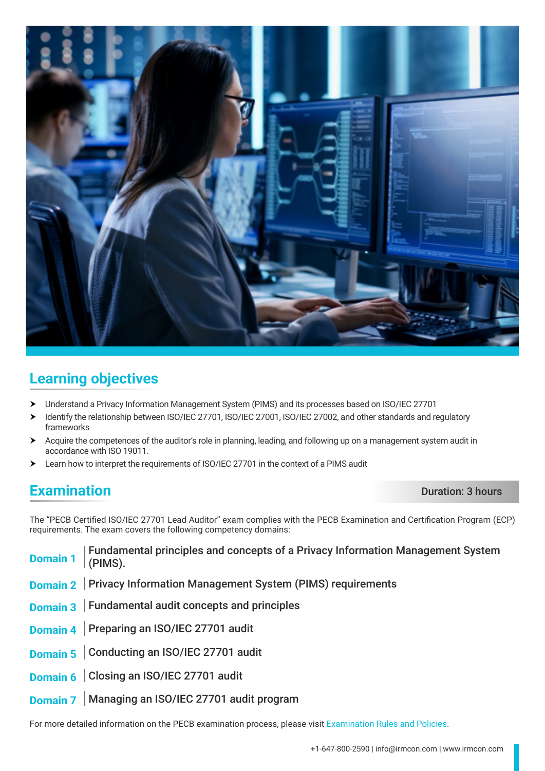

## **Learning objectives**

- > Understand a Privacy Information Management System (PIMS) and its processes based on ISO/IEC 27701
- h Identify the relationship between ISO/IEC 27701, ISO/IEC 27001, ISO/IEC 27002, and other standards and regulatory frameworks
- h Acquire the competences of the auditor's role in planning, leading, and following up on a management system audit in accordance with ISO 19011.
- h Learn how to interpret the requirements of ISO/IEC 27701 in the context of a PIMS audit

## **Examination** Duration: 3 hours

The "PECB Certified ISO/IEC 27701 Lead Auditor" exam complies with the PECB Examination and Certification Program (ECP) requirements. The exam covers the following competency domains:

| <b>Domain 1</b>   Fundamental principles and concepts of a Privacy Information Management System Domain 1   $\vert$ (PIMS). |
|-----------------------------------------------------------------------------------------------------------------------------|
| Domain 2   Privacy Information Management System (PIMS) requirements                                                        |
| Domain 3   Fundamental audit concepts and principles                                                                        |
| Domain 4 Preparing an ISO/IEC 27701 audit                                                                                   |
| Domain 5 Conducting an ISO/IEC 27701 audit                                                                                  |
| Domain 6 Closing an ISO/IEC 27701 audit                                                                                     |
| Domain 7   Managing an ISO/IEC 27701 audit program                                                                          |

For more detailed information on the PECB examination process, please visit [Examination Rules and Policies](https://pecb.com/en/examination-rules-and-policies).